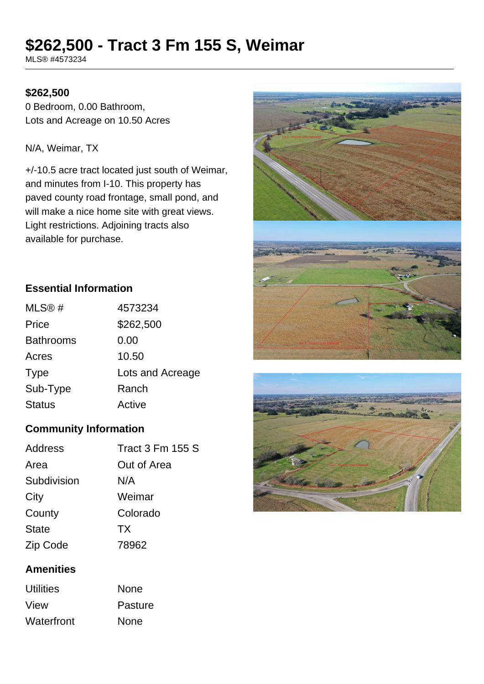# **\$262,500 - Tract 3 Fm 155 S, Weimar**

MLS® #4573234

#### **\$262,500**

0 Bedroom, 0.00 Bathroom, Lots and Acreage on 10.50 Acres

N/A, Weimar, TX

+/-10.5 acre tract located just south of Weimar, and minutes from I-10. This property has paved county road frontage, small pond, and will make a nice home site with great views. Light restrictions. Adjoining tracts also available for purchase.



### **Essential Information**

| MLS@#            | 4573234          |
|------------------|------------------|
| Price            | \$262,500        |
| <b>Bathrooms</b> | 0.00             |
| Acres            | 10.50            |
| <b>Type</b>      | Lots and Acreage |
| Sub-Type         | Ranch            |
| <b>Status</b>    | Active           |

## **Community Information**

| <b>Tract 3 Fm 155 S</b> |
|-------------------------|
| Out of Area             |
| N/A                     |
| Weimar                  |
| Colorado                |
| TX                      |
| 78962                   |
|                         |

## **Amenities**

| <b>Utilities</b> | <b>None</b> |
|------------------|-------------|
| View             | Pasture     |
| Waterfront       | <b>None</b> |